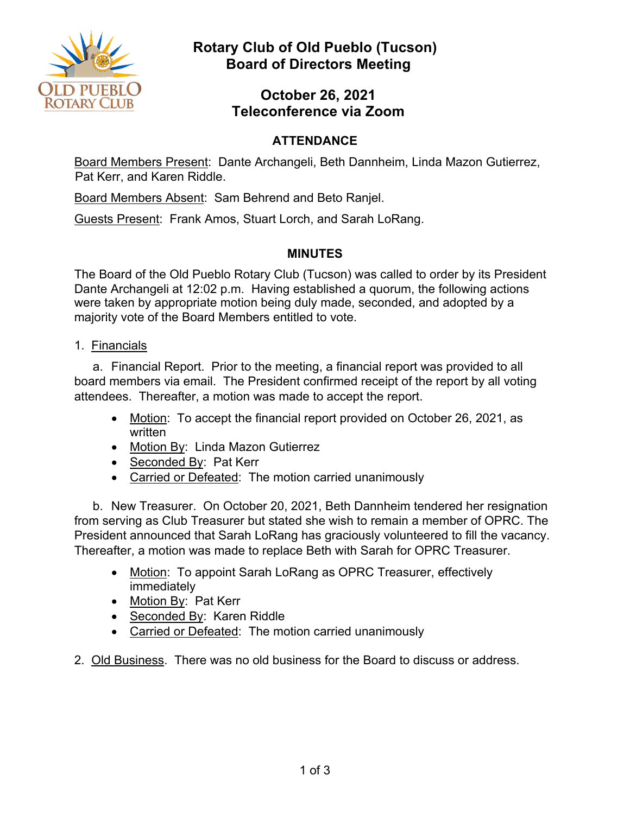

# **Rotary Club of Old Pueblo (Tucson) Board of Directors Meeting**

## **October 26, 2021 Teleconference via Zoom**

### **ATTENDANCE**

Board Members Present: Dante Archangeli, Beth Dannheim, Linda Mazon Gutierrez, Pat Kerr, and Karen Riddle.

Board Members Absent: Sam Behrend and Beto Ranjel.

Guests Present: Frank Amos, Stuart Lorch, and Sarah LoRang.

### **MINUTES**

The Board of the Old Pueblo Rotary Club (Tucson) was called to order by its President Dante Archangeli at 12:02 p.m. Having established a quorum, the following actions were taken by appropriate motion being duly made, seconded, and adopted by a majority vote of the Board Members entitled to vote.

1. Financials

a. Financial Report. Prior to the meeting, a financial report was provided to all board members via email. The President confirmed receipt of the report by all voting attendees. Thereafter, a motion was made to accept the report.

- Motion: To accept the financial report provided on October 26, 2021, as written
- Motion By: Linda Mazon Gutierrez
- Seconded By: Pat Kerr
- Carried or Defeated: The motion carried unanimously

b. New Treasurer. On October 20, 2021, Beth Dannheim tendered her resignation from serving as Club Treasurer but stated she wish to remain a member of OPRC. The President announced that Sarah LoRang has graciously volunteered to fill the vacancy. Thereafter, a motion was made to replace Beth with Sarah for OPRC Treasurer.

- Motion: To appoint Sarah LoRang as OPRC Treasurer, effectively immediately
- Motion By: Pat Kerr
- Seconded By: Karen Riddle
- Carried or Defeated: The motion carried unanimously
- 2. Old Business. There was no old business for the Board to discuss or address.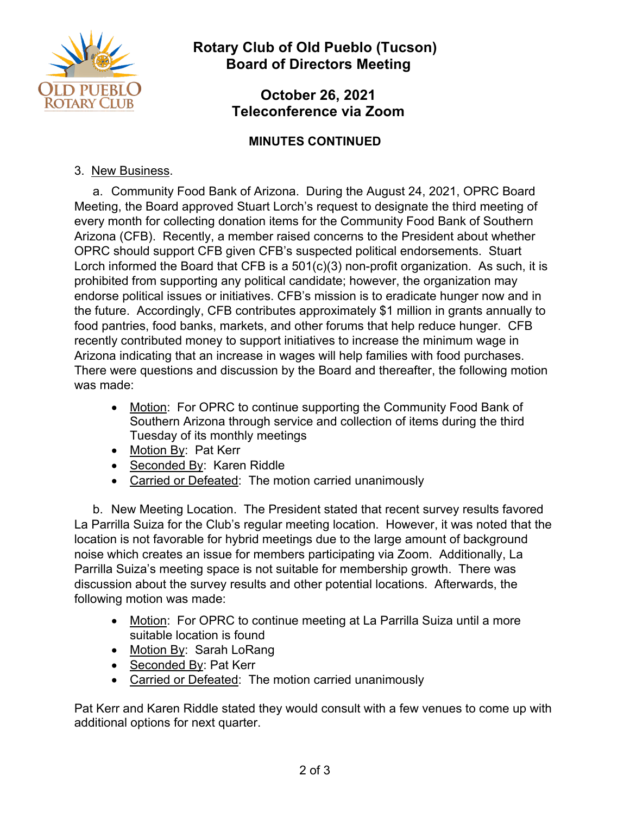

**Rotary Club of Old Pueblo (Tucson) Board of Directors Meeting** 

### **October 26, 2021 Teleconference via Zoom**

#### **MINUTES CONTINUED**

#### 3. New Business.

a. Community Food Bank of Arizona. During the August 24, 2021, OPRC Board Meeting, the Board approved Stuart Lorch's request to designate the third meeting of every month for collecting donation items for the Community Food Bank of Southern Arizona (CFB). Recently, a member raised concerns to the President about whether OPRC should support CFB given CFB's suspected political endorsements. Stuart Lorch informed the Board that CFB is a 501(c)(3) non-profit organization. As such, it is prohibited from supporting any political candidate; however, the organization may endorse political issues or initiatives. CFB's mission is to eradicate hunger now and in the future. Accordingly, CFB contributes approximately \$1 million in grants annually to food pantries, food banks, markets, and other forums that help reduce hunger. CFB recently contributed money to support initiatives to increase the minimum wage in Arizona indicating that an increase in wages will help families with food purchases. There were questions and discussion by the Board and thereafter, the following motion was made:

- Motion: For OPRC to continue supporting the Community Food Bank of Southern Arizona through service and collection of items during the third Tuesday of its monthly meetings
- Motion By: Pat Kerr
- Seconded By: Karen Riddle
- Carried or Defeated: The motion carried unanimously

b. New Meeting Location. The President stated that recent survey results favored La Parrilla Suiza for the Club's regular meeting location. However, it was noted that the location is not favorable for hybrid meetings due to the large amount of background noise which creates an issue for members participating via Zoom. Additionally, La Parrilla Suiza's meeting space is not suitable for membership growth. There was discussion about the survey results and other potential locations. Afterwards, the following motion was made:

- Motion: For OPRC to continue meeting at La Parrilla Suiza until a more suitable location is found
- Motion By: Sarah LoRang
- Seconded By: Pat Kerr
- Carried or Defeated: The motion carried unanimously

Pat Kerr and Karen Riddle stated they would consult with a few venues to come up with additional options for next quarter.